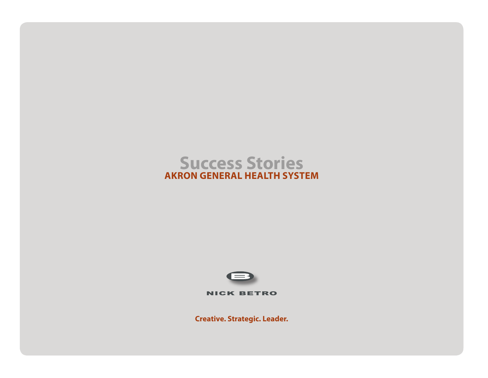# **Success Stories AKRON GENERAL HEALTH SYSTEM**



NICK BETRO

**Creative. Strategic. Leader.**